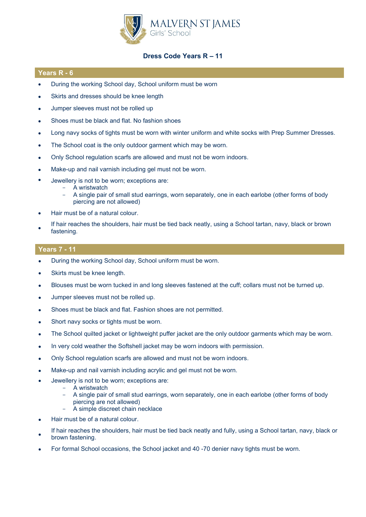

# **Dress Code Years R – 11**

### **Years R - 6**

- During the working School day, School uniform must be worn
- Skirts and dresses should be knee length
- Jumper sleeves must not be rolled up
- Shoes must be black and flat. No fashion shoes
- Long navy socks of tights must be worn with winter uniform and white socks with Prep Summer Dresses.
- The School coat is the only outdoor garment which may be worn.
- Only School regulation scarfs are allowed and must not be worn indoors.
- Make-up and nail varnish including gel must not be worn.
- Jewellery is not to be worn; exceptions are:
	- A wristwatch
	- A single pair of small stud earrings, worn separately, one in each earlobe (other forms of body piercing are not allowed)
- Hair must be of a natural colour.
- If hair reaches the shoulders, hair must be tied back neatly, using a School tartan, navy, black or brown fastening.

## **Years 7 - 11**

- During the working School day, School uniform must be worn.
- Skirts must be knee length.
- Blouses must be worn tucked in and long sleeves fastened at the cuff; collars must not be turned up.
- Jumper sleeves must not be rolled up.
- Shoes must be black and flat. Fashion shoes are not permitted.
- Short navy socks or tights must be worn.
- The School quilted jacket or lightweight puffer jacket are the only outdoor garments which may be worn.
- In very cold weather the Softshell jacket may be worn indoors with permission.
- Only School regulation scarfs are allowed and must not be worn indoors.
- Make-up and nail varnish including acrylic and gel must not be worn.
- Jewellery is not to be worn; exceptions are:
	- A wristwatch
	- A single pair of small stud earrings, worn separately, one in each earlobe (other forms of body piercing are not allowed)
	- A simple discreet chain necklace
- Hair must be of a natural colour.
- If hair reaches the shoulders, hair must be tied back neatly and fully, using a School tartan, navy, black or brown fastening.
- For formal School occasions, the School jacket and 40 -70 denier navy tights must be worn.